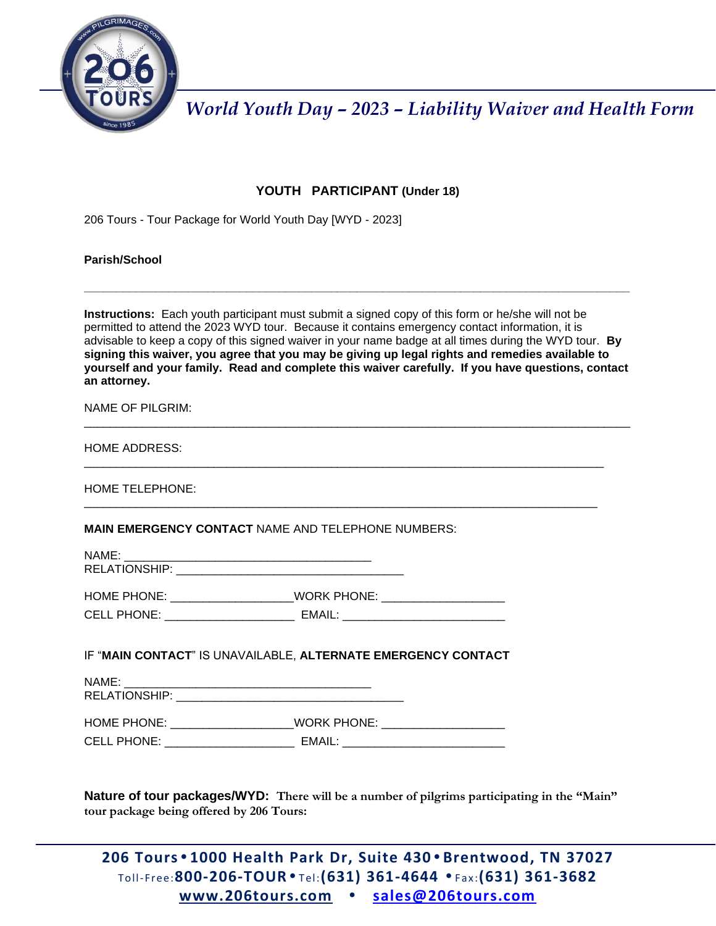

## **YOUTH PARTICIPANT (Under 18)**

206 Tours - Tour Package for World Youth Day [WYD - 2023]

#### **Parish/School**

**Instructions:** Each youth participant must submit a signed copy of this form or he/she will not be permitted to attend the 2023 WYD tour. Because it contains emergency contact information, it is advisable to keep a copy of this signed waiver in your name badge at all times during the WYD tour. **By signing this waiver, you agree that you may be giving up legal rights and remedies available to yourself and your family. Read and complete this waiver carefully. If you have questions, contact an attorney.**

\_\_\_\_\_\_\_\_\_\_\_\_\_\_\_\_\_\_\_\_\_\_\_\_\_\_\_\_\_\_\_\_\_\_\_\_\_\_\_\_\_\_\_\_\_\_\_\_\_\_\_\_\_\_\_\_\_\_\_\_\_\_\_\_\_\_\_\_\_\_\_\_\_\_\_\_\_\_\_\_\_\_\_\_

\_\_\_\_\_\_\_\_\_\_\_\_\_\_\_\_\_\_\_\_\_\_\_\_\_\_\_\_\_\_\_\_\_\_\_\_\_\_\_\_\_\_\_\_\_\_\_\_\_\_\_\_\_\_\_\_\_\_\_\_\_\_\_\_\_\_\_\_\_\_\_\_\_\_\_\_\_\_\_\_

\_\_\_\_\_\_\_\_\_\_\_\_\_\_\_\_\_\_\_\_\_\_\_\_\_\_\_\_\_\_\_\_\_\_\_\_\_\_\_\_\_\_\_\_\_\_\_\_\_\_\_\_\_\_\_\_\_\_\_\_\_\_\_\_\_\_\_\_\_\_\_\_\_\_\_\_\_\_\_

**\_\_\_\_\_\_\_\_\_\_\_\_\_\_\_\_\_\_\_\_\_\_\_\_\_\_\_\_\_\_\_\_\_\_\_\_\_\_\_\_\_\_\_\_\_\_\_\_\_\_\_\_\_\_\_\_\_\_\_\_\_\_\_\_\_\_\_\_\_\_\_\_\_\_\_\_\_\_\_\_\_\_\_\_**

NAME OF PILGRIM:

| HOME ADDRESS: |  |
|---------------|--|
|---------------|--|

HOME TELEPHONE:

**MAIN EMERGENCY CONTACT** NAME AND TELEPHONE NUMBERS:

| NAME:                |                    |  |
|----------------------|--------------------|--|
| <b>RELATIONSHIP:</b> |                    |  |
|                      |                    |  |
| HOME PHONE:          | <b>WORK PHONE:</b> |  |
| CELL PHONE:          | EMAIL:             |  |

## IF "**MAIN CONTACT**" IS UNAVAILABLE, **ALTERNATE EMERGENCY CONTACT**

| NAME:              |                    |  |
|--------------------|--------------------|--|
| RELATIONSHIP:      |                    |  |
|                    |                    |  |
| HOME PHONE:        | <b>WORK PHONE:</b> |  |
| <b>CELL PHONE:</b> | EMAIL:             |  |

**Nature of tour packages/WYD: There will be a number of pilgrims participating in the "Main" tour package being offered by 206 Tours:**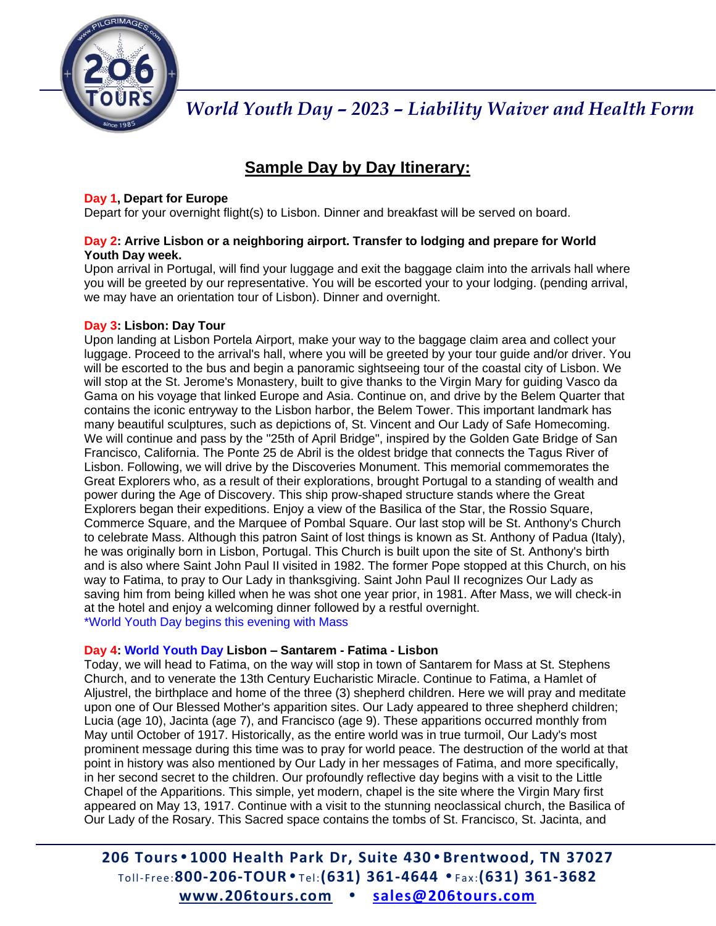

## **Sample Day by Day Itinerary:**

## **Day 1, Depart for Europe**

Depart for your overnight flight(s) to Lisbon. Dinner and breakfast will be served on board.

## **Day 2: Arrive Lisbon or a neighboring airport. Transfer to lodging and prepare for World Youth Day week.**

Upon arrival in Portugal, will find your luggage and exit the baggage claim into the arrivals hall where you will be greeted by our representative. You will be escorted your to your lodging. (pending arrival, we may have an orientation tour of Lisbon). Dinner and overnight.

## **Day 3: Lisbon: Day Tour**

Upon landing at Lisbon Portela Airport, make your way to the baggage claim area and collect your luggage. Proceed to the arrival's hall, where you will be greeted by your tour guide and/or driver. You will be escorted to the bus and begin a panoramic sightseeing tour of the coastal city of Lisbon. We will stop at the St. Jerome's Monastery, built to give thanks to the Virgin Mary for guiding Vasco da Gama on his voyage that linked Europe and Asia. Continue on, and drive by the Belem Quarter that contains the iconic entryway to the Lisbon harbor, the Belem Tower. This important landmark has many beautiful sculptures, such as depictions of, St. Vincent and Our Lady of Safe Homecoming. We will continue and pass by the "25th of April Bridge", inspired by the Golden Gate Bridge of San Francisco, California. The Ponte 25 de Abril is the oldest bridge that connects the Tagus River of Lisbon. Following, we will drive by the Discoveries Monument. This memorial commemorates the Great Explorers who, as a result of their explorations, brought Portugal to a standing of wealth and power during the Age of Discovery. This ship prow-shaped structure stands where the Great Explorers began their expeditions. Enjoy a view of the Basilica of the Star, the Rossio Square, Commerce Square, and the Marquee of Pombal Square. Our last stop will be St. Anthony's Church to celebrate Mass. Although this patron Saint of lost things is known as St. Anthony of Padua (Italy), he was originally born in Lisbon, Portugal. This Church is built upon the site of St. Anthony's birth and is also where Saint John Paul II visited in 1982. The former Pope stopped at this Church, on his way to Fatima, to pray to Our Lady in thanksgiving. Saint John Paul II recognizes Our Lady as saving him from being killed when he was shot one year prior, in 1981. After Mass, we will check-in at the hotel and enjoy a welcoming dinner followed by a restful overnight. \*World Youth Day begins this evening with Mass

## **Day 4: World Youth Day Lisbon – Santarem - Fatima - Lisbon**

Today, we will head to Fatima, on the way will stop in town of Santarem for Mass at St. Stephens Church, and to venerate the 13th Century Eucharistic Miracle. Continue to Fatima, a Hamlet of Aljustrel, the birthplace and home of the three (3) shepherd children. Here we will pray and meditate upon one of Our Blessed Mother's apparition sites. Our Lady appeared to three shepherd children; Lucia (age 10), Jacinta (age 7), and Francisco (age 9). These apparitions occurred monthly from May until October of 1917. Historically, as the entire world was in true turmoil, Our Lady's most prominent message during this time was to pray for world peace. The destruction of the world at that point in history was also mentioned by Our Lady in her messages of Fatima, and more specifically, in her second secret to the children. Our profoundly reflective day begins with a visit to the Little Chapel of the Apparitions. This simple, yet modern, chapel is the site where the Virgin Mary first appeared on May 13, 1917. Continue with a visit to the stunning neoclassical church, the Basilica of Our Lady of the Rosary. This Sacred space contains the tombs of St. Francisco, St. Jacinta, and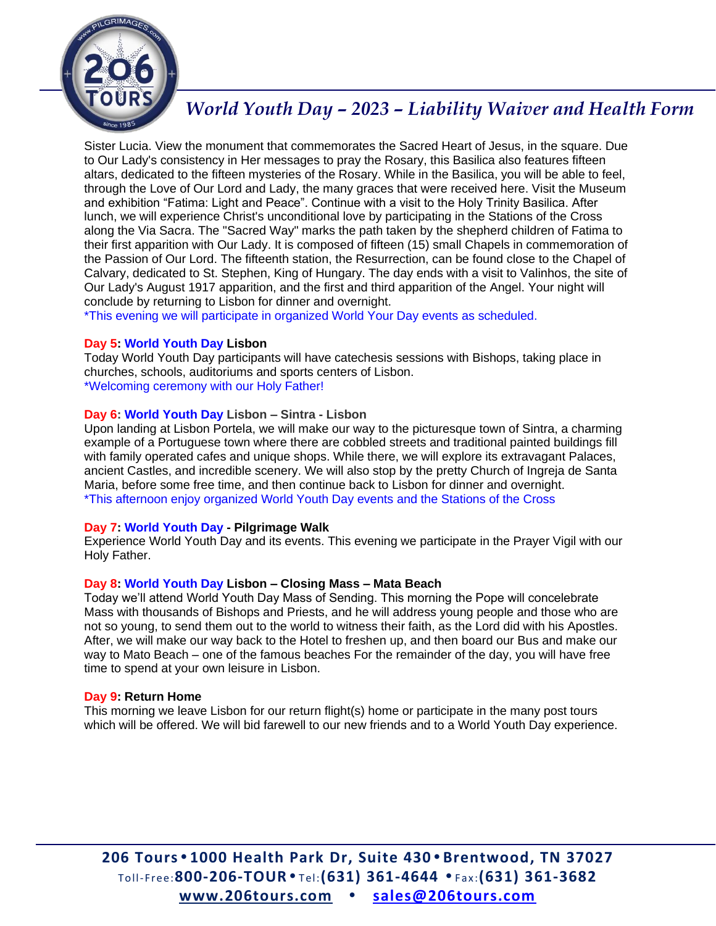

Sister Lucia. View the monument that commemorates the Sacred Heart of Jesus, in the square. Due to Our Lady's consistency in Her messages to pray the Rosary, this Basilica also features fifteen altars, dedicated to the fifteen mysteries of the Rosary. While in the Basilica, you will be able to feel, through the Love of Our Lord and Lady, the many graces that were received here. Visit the Museum and exhibition "Fatima: Light and Peace". Continue with a visit to the Holy Trinity Basilica. After lunch, we will experience Christ's unconditional love by participating in the Stations of the Cross along the Via Sacra. The "Sacred Way" marks the path taken by the shepherd children of Fatima to their first apparition with Our Lady. It is composed of fifteen (15) small Chapels in commemoration of the Passion of Our Lord. The fifteenth station, the Resurrection, can be found close to the Chapel of Calvary, dedicated to St. Stephen, King of Hungary. The day ends with a visit to Valinhos, the site of Our Lady's August 1917 apparition, and the first and third apparition of the Angel. Your night will conclude by returning to Lisbon for dinner and overnight.

\*This evening we will participate in organized World Your Day events as scheduled.

#### **Day 5: World Youth Day Lisbon**

Today World Youth Day participants will have catechesis sessions with Bishops, taking place in churches, schools, auditoriums and sports centers of Lisbon. \*Welcoming ceremony with our Holy Father!

#### **Day 6: World Youth Day Lisbon – Sintra - Lisbon**

Upon landing at Lisbon Portela, we will make our way to the picturesque town of Sintra, a charming example of a Portuguese town where there are cobbled streets and traditional painted buildings fill with family operated cafes and unique shops. While there, we will explore its extravagant Palaces, ancient Castles, and incredible scenery. We will also stop by the pretty Church of Ingreja de Santa Maria, before some free time, and then continue back to Lisbon for dinner and overnight. \*This afternoon enjoy organized World Youth Day events and the Stations of the Cross

#### **Day 7: World Youth Day - Pilgrimage Walk**

Experience World Youth Day and its events. This evening we participate in the Prayer Vigil with our Holy Father.

#### **Day 8: World Youth Day Lisbon – Closing Mass – Mata Beach**

Today we'll attend World Youth Day Mass of Sending. This morning the Pope will concelebrate Mass with thousands of Bishops and Priests, and he will address young people and those who are not so young, to send them out to the world to witness their faith, as the Lord did with his Apostles. After, we will make our way back to the Hotel to freshen up, and then board our Bus and make our way to Mato Beach – one of the famous beaches For the remainder of the day, you will have free time to spend at your own leisure in Lisbon.

#### **Day 9: Return Home**

This morning we leave Lisbon for our return flight(s) home or participate in the many post tours which will be offered. We will bid farewell to our new friends and to a World Youth Day experience.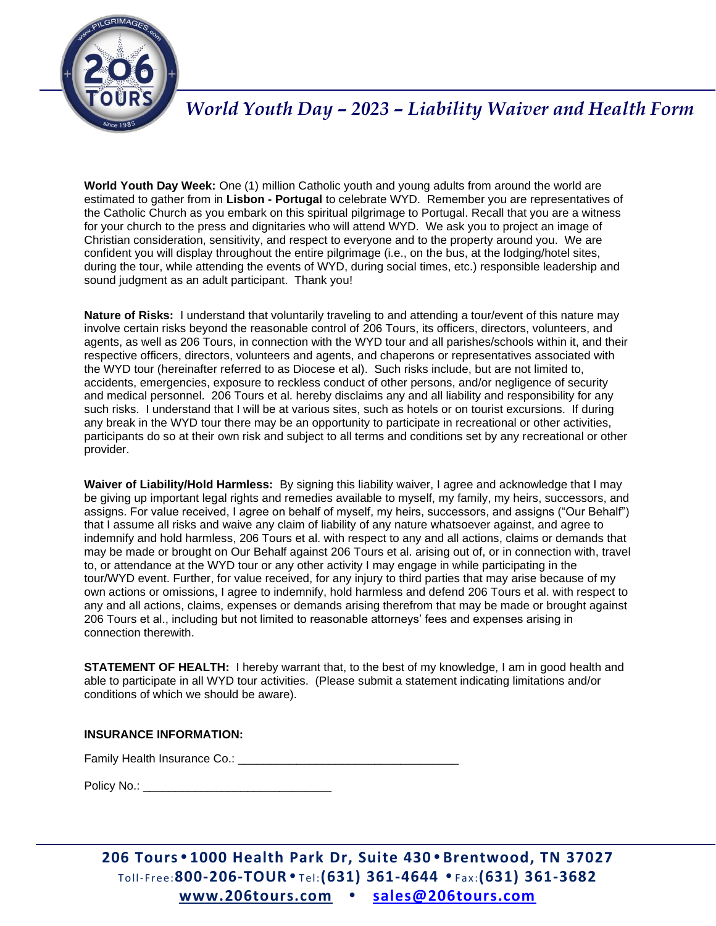

**World Youth Day Week:** One (1) million Catholic youth and young adults from around the world are estimated to gather from in **Lisbon - Portugal** to celebrate WYD. Remember you are representatives of the Catholic Church as you embark on this spiritual pilgrimage to Portugal. Recall that you are a witness for your church to the press and dignitaries who will attend WYD. We ask you to project an image of Christian consideration, sensitivity, and respect to everyone and to the property around you. We are confident you will display throughout the entire pilgrimage (i.e., on the bus, at the lodging/hotel sites, during the tour, while attending the events of WYD, during social times, etc.) responsible leadership and sound judgment as an adult participant. Thank you!

**Nature of Risks:** I understand that voluntarily traveling to and attending a tour/event of this nature may involve certain risks beyond the reasonable control of 206 Tours, its officers, directors, volunteers, and agents, as well as 206 Tours, in connection with the WYD tour and all parishes/schools within it, and their respective officers, directors, volunteers and agents, and chaperons or representatives associated with the WYD tour (hereinafter referred to as Diocese et al). Such risks include, but are not limited to, accidents, emergencies, exposure to reckless conduct of other persons, and/or negligence of security and medical personnel. 206 Tours et al. hereby disclaims any and all liability and responsibility for any such risks. I understand that I will be at various sites, such as hotels or on tourist excursions. If during any break in the WYD tour there may be an opportunity to participate in recreational or other activities, participants do so at their own risk and subject to all terms and conditions set by any recreational or other provider.

**Waiver of Liability/Hold Harmless:** By signing this liability waiver, I agree and acknowledge that I may be giving up important legal rights and remedies available to myself, my family, my heirs, successors, and assigns. For value received, I agree on behalf of myself, my heirs, successors, and assigns ("Our Behalf") that I assume all risks and waive any claim of liability of any nature whatsoever against, and agree to indemnify and hold harmless, 206 Tours et al. with respect to any and all actions, claims or demands that may be made or brought on Our Behalf against 206 Tours et al. arising out of, or in connection with, travel to, or attendance at the WYD tour or any other activity I may engage in while participating in the tour/WYD event. Further, for value received, for any injury to third parties that may arise because of my own actions or omissions, I agree to indemnify, hold harmless and defend 206 Tours et al. with respect to any and all actions, claims, expenses or demands arising therefrom that may be made or brought against 206 Tours et al., including but not limited to reasonable attorneys' fees and expenses arising in connection therewith.

**STATEMENT OF HEALTH:** I hereby warrant that, to the best of my knowledge, I am in good health and able to participate in all WYD tour activities. (Please submit a statement indicating limitations and/or conditions of which we should be aware).

#### **INSURANCE INFORMATION:**

Family Health Insurance Co.: **Example 2018** 

Policy No.:  $\blacksquare$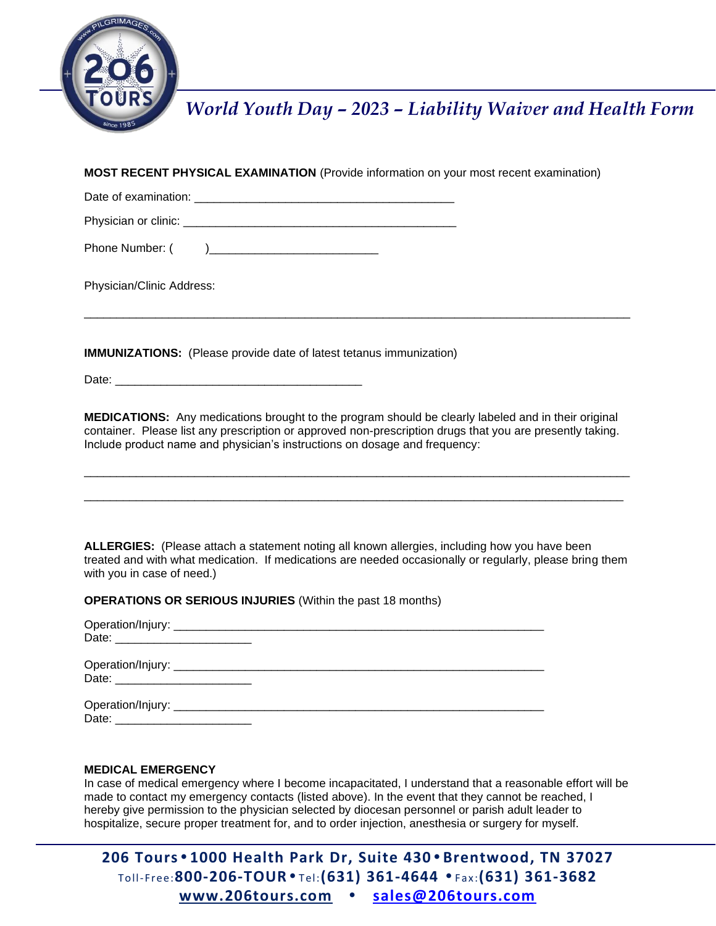

**MOST RECENT PHYSICAL EXAMINATION** (Provide information on your most recent examination)

| Date of examination: |  |
|----------------------|--|
| Physician or clinic: |  |

Phone Number: (

Physician/Clinic Address:

**IMMUNIZATIONS:** (Please provide date of latest tetanus immunization)

Date: \_\_\_\_\_\_\_\_\_\_\_\_\_\_\_\_\_\_\_\_\_\_\_\_\_\_\_\_\_\_\_\_\_\_\_\_\_\_

**MEDICATIONS:** Any medications brought to the program should be clearly labeled and in their original container. Please list any prescription or approved non-prescription drugs that you are presently taking. Include product name and physician's instructions on dosage and frequency:

\_\_\_\_\_\_\_\_\_\_\_\_\_\_\_\_\_\_\_\_\_\_\_\_\_\_\_\_\_\_\_\_\_\_\_\_\_\_\_\_\_\_\_\_\_\_\_\_\_\_\_\_\_\_\_\_\_\_\_\_\_\_\_\_\_\_\_\_\_\_\_\_\_\_\_\_\_\_\_\_\_\_\_\_

\_\_\_\_\_\_\_\_\_\_\_\_\_\_\_\_\_\_\_\_\_\_\_\_\_\_\_\_\_\_\_\_\_\_\_\_\_\_\_\_\_\_\_\_\_\_\_\_\_\_\_\_\_\_\_\_\_\_\_\_\_\_\_\_\_\_\_\_\_\_\_\_\_\_\_\_\_\_\_\_\_\_\_

\_\_\_\_\_\_\_\_\_\_\_\_\_\_\_\_\_\_\_\_\_\_\_\_\_\_\_\_\_\_\_\_\_\_\_\_\_\_\_\_\_\_\_\_\_\_\_\_\_\_\_\_\_\_\_\_\_\_\_\_\_\_\_\_\_\_\_\_\_\_\_\_\_\_\_\_\_\_\_\_\_\_\_\_

**ALLERGIES:** (Please attach a statement noting all known allergies, including how you have been treated and with what medication. If medications are needed occasionally or regularly, please bring them with you in case of need.)

**OPERATIONS OR SERIOUS INJURIES** (Within the past 18 months)

#### **MEDICAL EMERGENCY**

In case of medical emergency where I become incapacitated, I understand that a reasonable effort will be made to contact my emergency contacts (listed above). In the event that they cannot be reached, I hereby give permission to the physician selected by diocesan personnel or parish adult leader to hospitalize, secure proper treatment for, and to order injection, anesthesia or surgery for myself.